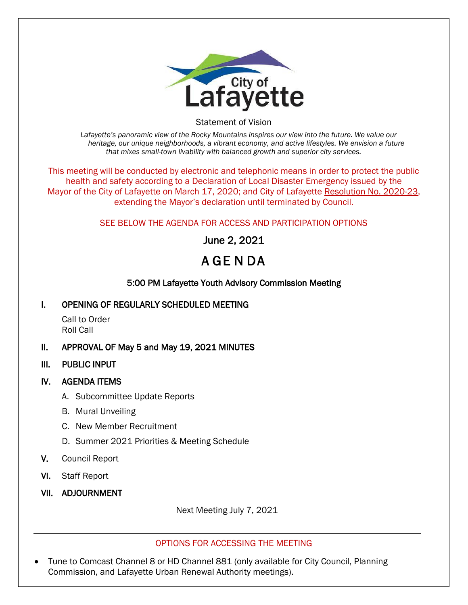

Statement of Vision

*Lafayette's panoramic view of the Rocky Mountains inspires our view into the future. We value our heritage, our unique neighborhoods, a vibrant economy, and active lifestyles. We envision a future that mixes small-town livability with balanced growth and superior city services.*

This meeting will be conducted by electronic and telephonic means in order to protect the public health and safety according to a Declaration of Local Disaster Emergency issued by the Mayor of the City of Lafayette on March 17, 2020; and City of Lafayette Resolution No. 2020-23, extending the Mayor's declaration until terminated by Council.

# SEE BELOW THE AGENDA FOR ACCESS AND PARTICIPATION OPTIONS

June 2, 2021

# A GE N DA

# 5:00 PM Lafayette Youth Advisory Commission Meeting

## I. OPENING OF REGULARLY SCHEDULED MEETING

Call to Order Roll Call

- II. APPROVAL OF May 5 and May 19, 2021 MINUTES
- III. PUBLIC INPUT

## IV. AGENDA ITEMS

- A. Subcommittee Update Reports
- B. Mural Unveiling
- C. New Member Recruitment
- D. Summer 2021 Priorities & Meeting Schedule
- V. Council Report
- VI. Staff Report
- VII. ADJOURNMENT

Next Meeting July 7, 2021

#### OPTIONS FOR ACCESSING THE MEETING

• Tune to Comcast Channel 8 or HD Channel 881 (only available for City Council, Planning Commission, and Lafayette Urban Renewal Authority meetings).